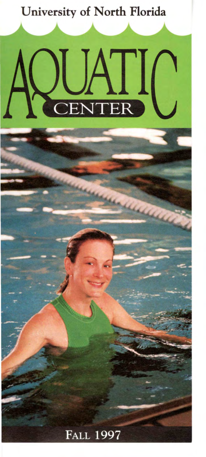

# **FALL 1997**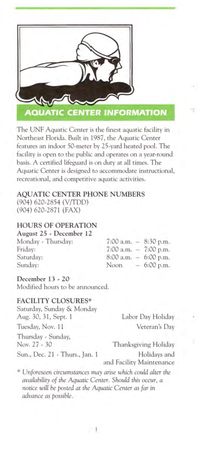

The UNF Aquatic Center is the finest aquatic facility in Northeast Florida. Built in 1987, the Aquatic Center features an indoor 50-meter by 25-yard heated pool. The facility is open to the public and operates on a year-round basis. A certified lifeguard is on duty at all times. The Aquatic Center is designed to accommodate instructional, recreational, and competitive aquatic activities.

#### **AQUATIC CENTER PHONE NUMBERS**

(904) 620-2854 (V/TDD) (904) 620-2871 (FAX)

#### **HOURS OF OPERATION**

#### **August 25** - **December 12**

Monday - Thursday: Friday: Saturday: Sunday:

| 7:00 a.m. |   | 8:30 p.m. |
|-----------|---|-----------|
| 7:00 a.m. | - | 7:00 p.m. |
| 8:00 a.m. |   | 6:00 p.m. |
| Noon      |   | 6:00 p.m. |

#### **December 13** - **20**

Modified hours to be announced.

#### **FACILITY CLOSURES\***

aturday, Sunday & Monday Aug. 30, 31, Sept. 1 Labor Day Holiday Tuesday, Nov. 11 Veteran's Day Thursday - Sunday, Nov. 27 - 30 Thanksgiving Holiday Sun., Dec. 21 - Thurs., Jan. 1 Holidays and

and Facility Maintenance

\* *Unforeseen circumstances may arise which could alter the availability of the Aquatic Center. Should this occur, a*  notice *will be posted at the Aquatic Center as far* in *advance as possible.*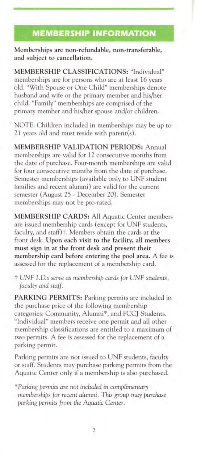# **MEMBERSHIP INFORMATION**

Memberships are non-refundable, non-transferable, **and subject to cancellation.** 

**MEMBERSHIP CLASSIFICATIONS:** "Individual" memberships are for persons who are at least 16 years old. "With Spouse or One Child" memberships denote husband and wife or the primary member and his/her child. "Family" memberships are comprised of the primary member and his/her spouse and/or children.

NOTE: Children included in memberships may be up to 21 years old and must reside with parent(s).

**MEMBERSHIP VALIDATION PERIODS:** Annual memberships are valid for 12 consecutive months from the date of purchase. Four-month memberships are valid for four consecutive months from the date of purchase. Semester memberships (available only to UNF student families and recent alumni) are valid for the current emester (August 25 - December 20). Semester memberships may not be pro-rated.

**MEMBERSHIP CARDS:** All Aquatic Center members are issued membership cards ( except for UNF students, faculty, and staff)<sup>†</sup>. Members obtain the cards at the front desk. **Upon each visit to the facility, all members must sign in at the front desk and present their membership card before entering the pool area.** A fee is assessed for the replacement of a membership card.

t *UNF I .D.s serve as membership cards for UNF students, faculty and staff.* 

**PARKING PERMITS:** Parking permits are included in the purchase price of the following membership categories: Community, Alumni\*, and FCCJ Students. "Individual" members receive one permit and all other membership classifications are entitled to a maximum of two permits. A fee is assessed for the replacement of a parking permit.

Parking permits are not issued to UNF students, faculty or staff. Students may purchase parking permits from the Aquatic Center only if a membership is also purchased.

*\*Parking permits are not included in complimentary memberships for recent alumni. This group may purchase parking permits from the Aquatic Center.*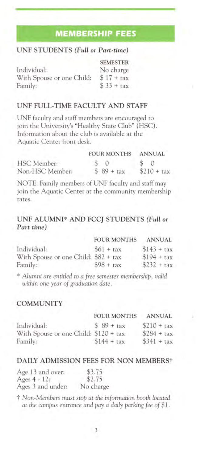# **MEMBERSHIP FEES**

### **UNF STUDENTS** *(Full or Part-time)*

|                           | <b>SEMESTER</b> |
|---------------------------|-----------------|
| Individual:               | No charge       |
| With Spouse or one Child: | $$17 + tax$     |
| Family:                   | $$33 + tax$     |

#### **UNF FULL-TIME FACULTY AND STAFF**

UNF faculty and staff members are encouraged to join the University's "Healthy State Club" (HSC). Information about the club is available at the Aquatic Center front desk.

|                 | <b>FOUR MONTHS</b> | <b>ANNUAL</b> |
|-----------------|--------------------|---------------|
| HSC Member:     |                    | $\sim$ 0      |
| Non-HSC Member: | $$89 + tax$        | $$210 + tax$  |

NOTE: Family members of UNF faculty and staff may join the Aquatic Center at the community membership rates.

#### **UNF ALUMNI\* AND FCC} STUDENTS** *(Full or Part time)*

|                                      | <b>FOUR MONTHS</b> | <b>ANNUAL</b> |
|--------------------------------------|--------------------|---------------|
| Individual:                          | $561 + \text{tax}$ | $$143 + tax$  |
| With Spouse or one Child: \$82 + tax |                    | $$194 + tax$  |
| Family:                              | $$98 + tax$        | $$232 + tax$  |

\* *Alumni are entitled to a free semester membership, valid within* one *year of graduation date.* 

#### **COMMUNITY**

|                                       | <b>FOUR MONTHS</b> | <b>ANNUAL</b> |
|---------------------------------------|--------------------|---------------|
| Individual:                           | $$89 + tax$        | $$210 + tax$  |
| With Spouse or one Child: \$120 + tax |                    | $$284 + tax$  |
| Family:                               | $$144 + tax$       | $$341 + tax$  |

#### **DAILY ADMISSION FEES FOR NON MEMBERS†**

| Age 13 and over:  | \$3.75    |
|-------------------|-----------|
| Ages $4 - 12$ :   | \$2.75    |
| Ages 3 and under: | No charge |

t *Non-Members must stop at the information booth located at the campus entrance and pay a daily parking fee of \$1* .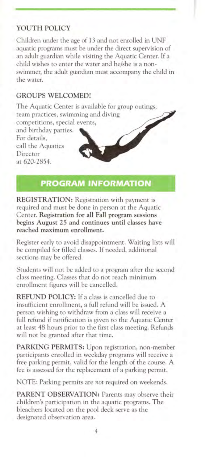#### **YOUTH POLICY**

Children under the age of 13 and not enrolled in UNF aquatic programs must be under the direct supervision of an adult guardian while visiting the Aquatic Center. If a child wishes to enter the water and he/she is a nonwimmer, the adult guardian must accompany the child in the water.

#### **GROUPS WELCOMED!**

The Aquatic Center is available for group outings, team practices, swimming and diving

competitions, special events,

and birthday parties. For details. call the Aquatics Director at 620-2854.

### **PROGRAM INFORMATION**

 $\overline{\mathscr{S}}$ 

**REGISTRATION:** Registration with payment is required and must be done in person at the Aquatic Center. **Registration for all Fall program sessions begins August 25 and continues until classes have reached maximum enrollment.** 

Register early to avoid disappointment. Waiting lists will be compiled for filled classes. If needed, additional sections may be offered.

Students will not be added to a program after the second class meeting. Classes that do not reach minimum enrollment figures will be cancelled.

**REFUND POLICY:** If a class is cancelled due to insufficient enrollment, a full refund will be issued. A person wishing to withdraw from a class will receive a full refund if notification is given to the Aquatic Center at least 48 hours prior to the first class meeting. Refunds will not be granted after that time.

**PARKING PERMITS:** Upon registration, non-member participants enrolled in weekday programs will receive a free parking permit, valid for the length of the course. A fee is assessed for the replacement of a parking permit.

NOTE: Parking permits are *not* required on weekends.

PARENT OBSERVATION: Parents may observe their children's participation in the aquatic programs. The bleachers located on the pool deck serve as the designated observation area.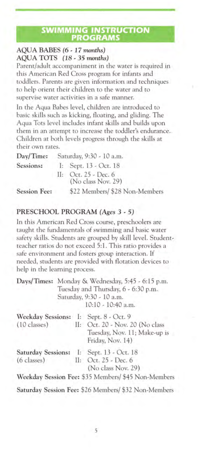#### **SWIMMING INSTRUCTION PROGRAMS**

#### **AQUA BABES (6** - **17** *months)*  **AQUA TOTS (18** - **35** *months)*

Parent/adult accompaniment in the water is required in this American Red Cross program for infants and toddlers. Parents are given information and techniques to help orient their children to the water and to supervise water activities in a safe manner.

In the Aqua Babes level, children are introduced to basic skills such as kicking, floating, and gliding. The Aqua Tots level includes infant skills and builds upon them in an attempt to increase the toddler's endurance. Children at both levels progress through the skills at their own rates.

| Day/Time:           | Saturday, 9:30 - 10 a.m.                     |
|---------------------|----------------------------------------------|
| Sessions:           | I: Sept. $13 - Oct. 18$                      |
|                     | II: Oct. $25 - Dec. 6$<br>(No class Nov. 29) |
| <b>Session Fee:</b> | \$22 Members/ \$28 Non-Members               |

#### **PRESCHOOL PROGRAM** *(Ages* **3** - **5)**

In this American Red Cross course, preschoolers are taught the fundamentals of swimming and basic water safety skills. Students are grouped by skill level. Studentteacher ratios do not exceed 5:1. This ratio provides a afe environment and fosters group interaction. If needed, tudents are provided with flotation devices to help in the learning process.

|                                                                 | Days/Times: Monday & Wednesday, 5:45 - 6:15 p.m.<br>Tuesday and Thursday, 6 - 6:30 p.m.<br>Saturday, 9:30 - 10 a.m.<br>$10:10 - 10:40$ a.m. |
|-----------------------------------------------------------------|---------------------------------------------------------------------------------------------------------------------------------------------|
| Weekday Sessions: I: Sept. 8 - Oct. 9<br>$(10 \text{ classes})$ | II: Oct. 20 - Nov. 20 (No class<br>Tuesday, Nov. 11; Make-up is<br>Friday, Nov. 14)                                                         |
| Saturday Sessions: I: Sept. 13 - Oct. 18<br>$(6$ classes)       | II: Oct. $25 - Dec. 6$<br>(No class Nov. 29)                                                                                                |
|                                                                 | Weekday Session Fee: \$35 Members/ \$45 Non-Members                                                                                         |
|                                                                 | Saturday Session Fee: \$26 Members/ \$32 Non-Members                                                                                        |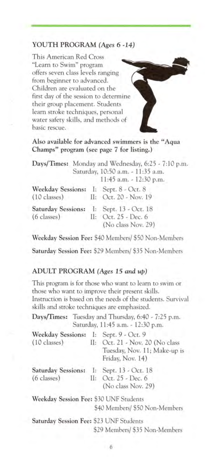#### **YOUTH PROGRAM** *(Ages* **6 -14)**

This American Red Cro "Learn to Swim" program offers seven class levels ranging from beginner to advanced. Children are evaluated on the first day of the session to determine their group placement. Student learn stroke techniques, personal water safety skills, and methods of basic rescue.

**Also available for advanced swimmers is the "Aqua Champs" program (see page 7 for listing.)** 

|                                                           | Days/Times: Monday and Wednesday, 6:25 - 7:10 p.m.<br>Saturday, 10:50 a.m. - 11:35 a.m.<br>11:45 a.m. - 12:30 p.m. |
|-----------------------------------------------------------|--------------------------------------------------------------------------------------------------------------------|
| Weekday Sessions: I: Sept. 8 - Oct. 8<br>$(10$ classes)   | II: Oct. 20 - Nov. 19                                                                                              |
| Saturday Sessions: I: Sept. 13 - Oct. 18<br>$(6$ classes) | II: Oct. 25 - Dec. 6<br>(No class Nov. 29)                                                                         |

**Weekday Session Fee:** \$40 Members/ \$50 Non-Member

**Saturday Session Fee:** \$29 Members/ \$35 Non-Member

#### **ADULT PROGRAM** *(Ages* **15** *and up)*

This program is for those who want to learn to swim or those who want to improve their present skills. Instruction is based on the needs of the students. Survival skills and stroke techniques are emphasized.

| attrio more arrange restriction are employments.          |                                                                                         |
|-----------------------------------------------------------|-----------------------------------------------------------------------------------------|
|                                                           | Days/Times: Tuesday and Thursday, 6:40 - 7:25 p.m.<br>Saturday, 11:45 a.m. - 12:30 p.m. |
| Weekday Sessions: I: Sept. 9 - Oct. 9<br>$(10$ classes)   | II: Oct. 21 - Nov. 20 (No class<br>Tuesday, Nov. 11; Make-up is<br>Friday, Nov. 14)     |
| Saturday Sessions: I: Sept. 13 - Oct. 18<br>$(6$ classes) | II: Oct. 25 - Dec. 6<br>(No class Nov. 29)                                              |
| Weekday Session Fee: \$30 UNF Students                    | \$40 Members/ \$50 Non-Members                                                          |
| Saturday Session Fee: \$23 UNF Students                   |                                                                                         |

\$29 Members/ \$35 Non-Member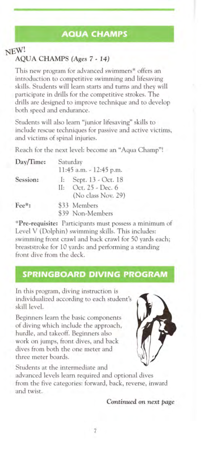# **AQUA CHAMPS**

# NEW! AQUA CHAMPS *(Ages* 7 - 14)

This new program for advanced swimmers<sup>\*</sup> offers an introduction to competitive swimming and lifesaving skills. Students will learn starts and turns and they will participate in drills for the competitive strokes. The drills are designed to improve technique and to develop both speed and endurance.

Students will also learn "junior lifesaving" skills to include rescue techniques for passive and active victims, and victims of spinal injuries.

Reach for the next level: become an "Aqua Champ"!

| Day/Time: | Saturday     |                         |
|-----------|--------------|-------------------------|
|           |              | 11:45 a.m. - 12:45 p.m. |
| Session:  | $\mathbb{R}$ | Sept. 13 - Oct. 18      |
|           | $\Pi$ :      | Oct. 25 - Dec. 6        |
|           |              | (No class Nov. 29)      |
| Fee*:     |              | \$33 Members            |
|           |              | \$39 Non-Members        |

**\*Pre-requisite:** Participants must possess a minimum of Level V (Dolphin) swimming skills. This includes: wimming front crawl and back crawl for 50 yards each; breaststroke for 10 yards: and performing a standing front dive from the deck.

### **SPRINGBOARD DIVING PROGRAM**

In this program, diving instruction is individualized according to each student's skill level.

Beginners learn the basic components of diving which include the approach, hurdle, and takeoff. Beginners also work on jumps, front dives, and back dives from both the one meter and three meter boards.



Students at the intermediate and advanced levels learn required and optional dives from the five categories: forward, back, reverse, inward and twist.

#### *Continued on next page*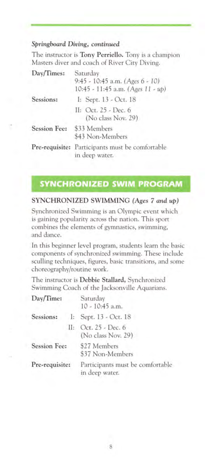#### *Springboard Diving, continued*

The instructor is **Tony Perriello.** Tony is a champion Masters diver and coach of River City Diving.

| Day/Times:          | Saturday<br>9:45 - 10:45 a.m. (Ages 6 - 10)<br>10:45 - 11:45 a.m. (Ages 11 - up) |
|---------------------|----------------------------------------------------------------------------------|
| Sessions:           | I: Sept. 13 - Oct. 18                                                            |
|                     | II: Oct. 25 - Dec. 6<br>(No class Nov. 29)                                       |
| <b>Session Fee:</b> | \$33 Members<br>\$43 Non-Members                                                 |
|                     | Pre-requisite: Participants must be comfortable<br>in deep water.                |

### **SYNCHRONIZED SWIM PROGRAM**

#### **SYNCHRONIZED SWIMMING** *(Ages* **7** *and up)*

Synchronized Swimming is an Olympic event which is gaining popularity across the nation. This sport combines the elements of gymnastics, swimming, and dance.

In this beginner level program, students learn the basic components of synchronized swimming. These include sculling techniques, figures, basic transitions, and some choreography/routine work.

The instructor is **Debbie Stallard,** Synchronized Swimming Coach of the Jacksonville Aquarians.

| Day/Time:           |  | Saturday<br>$10 - 10:45$ a.m.                      |
|---------------------|--|----------------------------------------------------|
|                     |  | Sessions: I: Sept. 13 - Oct. 18                    |
|                     |  | II: Oct. 25 - Dec. 6<br>(No class Nov. 29)         |
| <b>Session Fee:</b> |  | \$27 Members<br>\$37 Non-Members                   |
| Pre-requisite:      |  | Participants must be comfortable<br>in deep water. |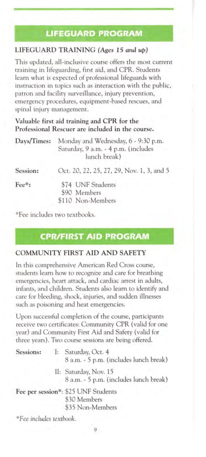# **LIFEGUARD PROGRAM**

#### **LIFEGUARD TRAINING** *(Ages* **15** *and up)*

This updated, all-inclusive course offers the most current training in lifeguarding, first aid, and CPR. Students learn what is expected of professional lifeguards with instruction in topics such as interaction with the public. patron and facility surveillance, injury prevention, emergency procedures, equipment-based rescues, and spinal injury management.

**Valuable first aid training and CPR for the Professional Rescuer are included in the course.** 

| Days/Times: | Monday and Wednesday, 6 - 9:30 p.m.<br>Saturday, 9 a.m. - 4 p.m. (includes<br>lunch break) |
|-------------|--------------------------------------------------------------------------------------------|
| Session:    | Oct. 20, 22, 25, 27, 29, Nov. 1, 3, and 5                                                  |
| Fee*:       | \$74 UNF Students<br>\$90 Members<br>\$110 Non-Members                                     |

\*Fee includes two textbooks.

### **CPR/FIRST AID PROGRAM**

#### **COMMUNITY FIRST AID AND SAFETY**

In this comprehensive American Red Cross course, students learn how to recognize and care for breathing emergencies, heart attack, and cardiac arrest in adults, infants, and children. Students also learn to identify and care for bleeding, shock, injuries, and sudden illnesses such as poisoning and heat emergencies.

Upon successful completion of the course, participants receive two certificates: Community CPR ( valid for one year) and Community First Aid and Safety (valid for three years). Two course sessions are being offered.

|  | Sessions: I: Saturday, Oct. 4<br>8 a.m. - 5 p.m. (includes lunch break) |
|--|-------------------------------------------------------------------------|
|  | II: Saturday, Nov. 15<br>8 a.m. - 5 p.m. (includes lunch break)         |
|  | Fee per session*: \$25 UNF Students<br>\$30 Members<br>\$35 Non-Members |
|  |                                                                         |

*\*Fee includes textbook.*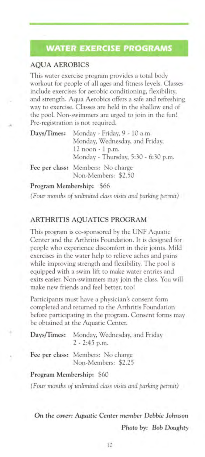### **WATER EXERCISE PROGRAMS**

#### **AQUA AEROBICS**

This water exercise program provides a total body workout for people of all ages and fitness levels. Classe include exercises for aerobic conditioning, flexibility, and strength. Aqua Aerobics offers a safe and refreshing way to exercise. Classes are held in the shallow end of the pool. Non-swimmers are urged to join in the fun! Pre-registration is not required.

| Days/Times: | Monday - Friday, 9 - 10 a.m.        |  |
|-------------|-------------------------------------|--|
|             | Monday, Wednesday, and Friday,      |  |
|             | 12 noon - 1 p.m.                    |  |
|             | Monday - Thursday, 5:30 - 6:30 p.m. |  |
|             | Fee per class: Members: No charge   |  |
|             | Non-Members: \$2.50                 |  |
|             | Program Membership: \$66            |  |

*( Four months of unlimited class visits and parking permit)* 

#### **ARTHRITIS AQUATICS PROGRAM**

This program is co-sponsored by the UNF Aquatic Center and the Arthritis Foundation. It is designed for people who experience discomfort in their joints. Mild exercises in the water help to relieve aches and pain while improving strength and flexibility. The pool i equipped with a swim lift to make water entries and exits easier. Non-swimmers may join the class. You will make new friends and feel better, too!

Participants must have a physician's consent form completed and returned to the Arthritis Foundation before participating in the program. Consent forms may be obtained at the Aquatic Center.

| Days/Times: Monday, Wednesday, and Friday<br>$2 - 2:45$ p.m. |
|--------------------------------------------------------------|
| Fee per class: Members: No charge<br>Non-Members: \$2.25     |

#### **Program Membership:** \$60

*(Four months of unlimited class visits and parking permit)* 

**On** *the cover: Aquatic Center member Debbie Johnson Photo by: Bob Doughty*